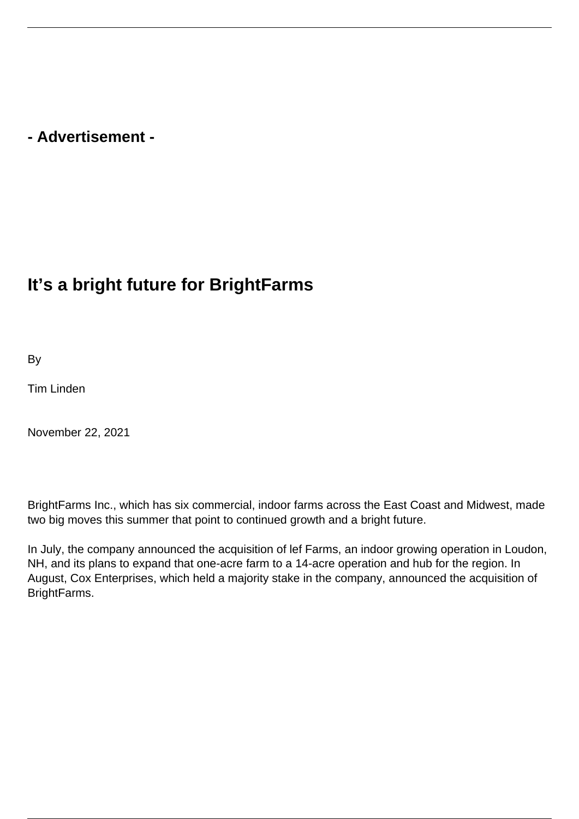## **- Advertisement -**

## **It's a bright future for BrightFarms**

**B**<sub>v</sub>

Tim Linden

November 22, 2021

BrightFarms Inc., which has six commercial, indoor farms across the East Coast and Midwest, made two big moves this summer that point to continued growth and a bright future.

In July, the company announced the acquisition of lef Farms, an indoor growing operation in Loudon, NH, and its plans to expand that one-acre farm to a 14-acre operation and hub for the region. In August, Cox Enterprises, which held a majority stake in the company, announced the acquisition of BrightFarms.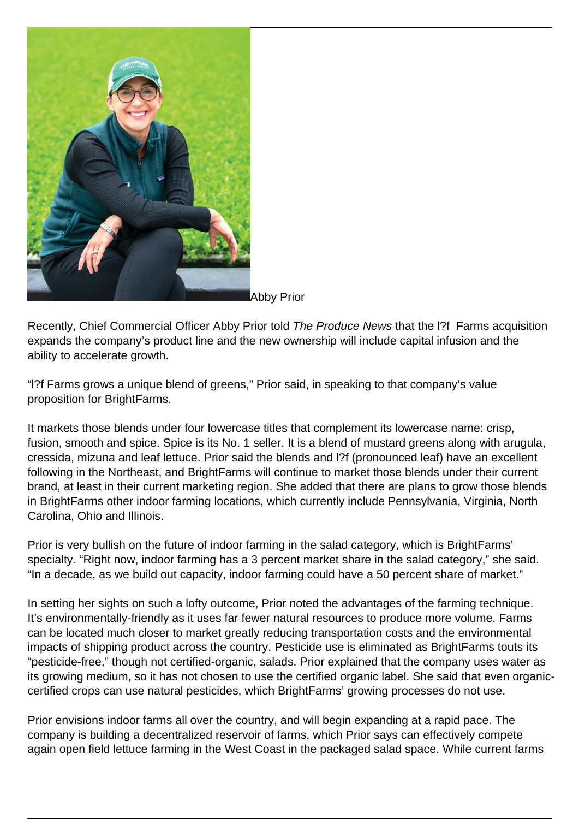

Abby Prior

Recently, Chief Commercial Officer Abby Prior told The Produce News that the l?f Farms acquisition expands the company's product line and the new ownership will include capital infusion and the ability to accelerate growth.

"l?f Farms grows a unique blend of greens," Prior said, in speaking to that company's value proposition for BrightFarms.

It markets those blends under four lowercase titles that complement its lowercase name: crisp, fusion, smooth and spice. Spice is its No. 1 seller. It is a blend of mustard greens along with arugula, cressida, mizuna and leaf lettuce. Prior said the blends and l?f (pronounced leaf) have an excellent following in the Northeast, and BrightFarms will continue to market those blends under their current brand, at least in their current marketing region. She added that there are plans to grow those blends in BrightFarms other indoor farming locations, which currently include Pennsylvania, Virginia, North Carolina, Ohio and Illinois.

Prior is very bullish on the future of indoor farming in the salad category, which is BrightFarms' specialty. "Right now, indoor farming has a 3 percent market share in the salad category," she said. "In a decade, as we build out capacity, indoor farming could have a 50 percent share of market."

In setting her sights on such a lofty outcome, Prior noted the advantages of the farming technique. It's environmentally-friendly as it uses far fewer natural resources to produce more volume. Farms can be located much closer to market greatly reducing transportation costs and the environmental impacts of shipping product across the country. Pesticide use is eliminated as BrightFarms touts its "pesticide-free," though not certified-organic, salads. Prior explained that the company uses water as its growing medium, so it has not chosen to use the certified organic label. She said that even organiccertified crops can use natural pesticides, which BrightFarms' growing processes do not use.

Prior envisions indoor farms all over the country, and will begin expanding at a rapid pace. The company is building a decentralized reservoir of farms, which Prior says can effectively compete again open field lettuce farming in the West Coast in the packaged salad space. While current farms